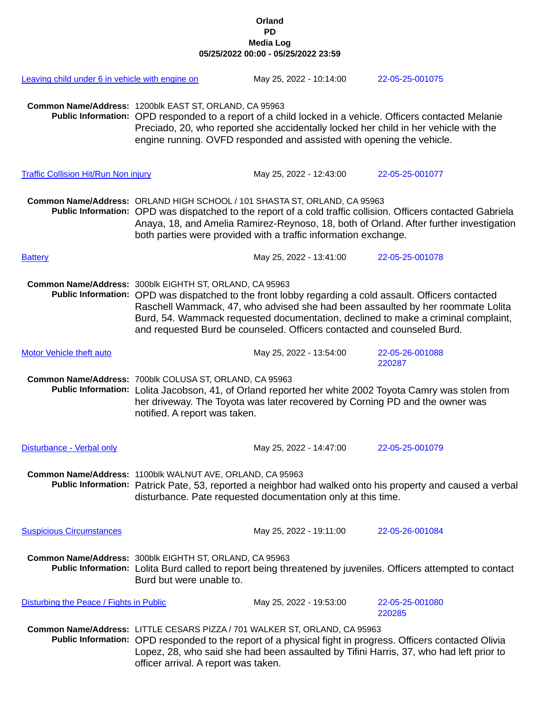## **Orland PD Media Log 05/25/2022 00:00 - 05/25/2022 23:59**

| Leaving child under 6 in vehicle with engine on |                                                                                                                                                                                                                                                                                                                                                                                                                      | May 25, 2022 - 10:14:00                                                                                                                                       | 22-05-25-001075                                                                                          |
|-------------------------------------------------|----------------------------------------------------------------------------------------------------------------------------------------------------------------------------------------------------------------------------------------------------------------------------------------------------------------------------------------------------------------------------------------------------------------------|---------------------------------------------------------------------------------------------------------------------------------------------------------------|----------------------------------------------------------------------------------------------------------|
|                                                 | Common Name/Address: 1200blk EAST ST, ORLAND, CA 95963                                                                                                                                                                                                                                                                                                                                                               | Preciado, 20, who reported she accidentally locked her child in her vehicle with the<br>engine running. OVFD responded and assisted with opening the vehicle. | Public Information: OPD responded to a report of a child locked in a vehicle. Officers contacted Melanie |
| <b>Traffic Collision Hit/Run Non injury</b>     |                                                                                                                                                                                                                                                                                                                                                                                                                      | May 25, 2022 - 12:43:00                                                                                                                                       | 22-05-25-001077                                                                                          |
|                                                 | Common Name/Address: ORLAND HIGH SCHOOL / 101 SHASTA ST, ORLAND, CA 95963<br>Public Information: OPD was dispatched to the report of a cold traffic collision. Officers contacted Gabriela<br>Anaya, 18, and Amelia Ramirez-Reynoso, 18, both of Orland. After further investigation<br>both parties were provided with a traffic information exchange.                                                              |                                                                                                                                                               |                                                                                                          |
| <b>Battery</b>                                  |                                                                                                                                                                                                                                                                                                                                                                                                                      | May 25, 2022 - 13:41:00                                                                                                                                       | 22-05-25-001078                                                                                          |
|                                                 | Common Name/Address: 300blk EIGHTH ST, ORLAND, CA 95963<br>Public Information: OPD was dispatched to the front lobby regarding a cold assault. Officers contacted<br>Raschell Wammack, 47, who advised she had been assaulted by her roommate Lolita<br>Burd, 54. Wammack requested documentation, declined to make a criminal complaint,<br>and requested Burd be counseled. Officers contacted and counseled Burd. |                                                                                                                                                               |                                                                                                          |
| <b>Motor Vehicle theft auto</b>                 |                                                                                                                                                                                                                                                                                                                                                                                                                      | May 25, 2022 - 13:54:00                                                                                                                                       | 22-05-26-001088<br>220287                                                                                |
|                                                 | Common Name/Address: 700blk COLUSA ST, ORLAND, CA 95963<br>Public Information: Lolita Jacobson, 41, of Orland reported her white 2002 Toyota Camry was stolen from<br>her driveway. The Toyota was later recovered by Corning PD and the owner was<br>notified. A report was taken.                                                                                                                                  |                                                                                                                                                               |                                                                                                          |
| Disturbance - Verbal only                       |                                                                                                                                                                                                                                                                                                                                                                                                                      | May 25, 2022 - 14:47:00                                                                                                                                       | 22-05-25-001079                                                                                          |
|                                                 | Common Name/Address: 1100blk WALNUT AVE, ORLAND, CA 95963<br>Public Information: Patrick Pate, 53, reported a neighbor had walked onto his property and caused a verbal<br>disturbance. Pate requested documentation only at this time.                                                                                                                                                                              |                                                                                                                                                               |                                                                                                          |
| <b>Suspicious Circumstances</b>                 |                                                                                                                                                                                                                                                                                                                                                                                                                      | May 25, 2022 - 19:11:00                                                                                                                                       | 22-05-26-001084                                                                                          |
|                                                 | Common Name/Address: 300blk EIGHTH ST, ORLAND, CA 95963<br>Public Information: Lolita Burd called to report being threatened by juveniles. Officers attempted to contact<br>Burd but were unable to.                                                                                                                                                                                                                 |                                                                                                                                                               |                                                                                                          |
| Disturbing the Peace / Fights in Public         |                                                                                                                                                                                                                                                                                                                                                                                                                      | May 25, 2022 - 19:53:00                                                                                                                                       | 22-05-25-001080<br>220285                                                                                |
|                                                 | Common Name/Address: LITTLE CESARS PIZZA / 701 WALKER ST, ORLAND, CA 95963<br>Public Information: OPD responded to the report of a physical fight in progress. Officers contacted Olivia<br>Lopez, 28, who said she had been assaulted by Tifini Harris, 37, who had left prior to<br>officer arrival. A report was taken.                                                                                           |                                                                                                                                                               |                                                                                                          |